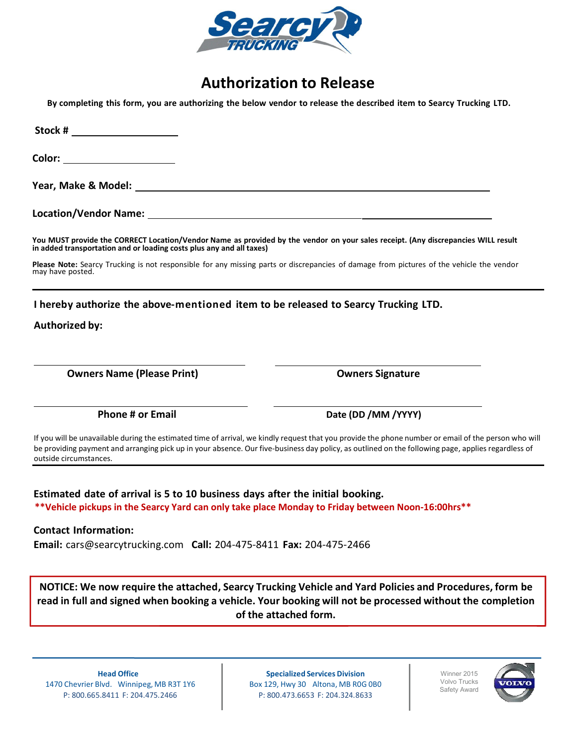

# Authorization to Release

By completing this form, you are authorizing the below vendor to release the described item to Searcy Trucking LTD.

| Stock # _______________________                                                                                                                                                                                                                                                                                                                                                                                                                                                                     |                                                                                                                                                                                                                                              |                                                                               |                                                                                                                                                                                                                                                                                                            |
|-----------------------------------------------------------------------------------------------------------------------------------------------------------------------------------------------------------------------------------------------------------------------------------------------------------------------------------------------------------------------------------------------------------------------------------------------------------------------------------------------------|----------------------------------------------------------------------------------------------------------------------------------------------------------------------------------------------------------------------------------------------|-------------------------------------------------------------------------------|------------------------------------------------------------------------------------------------------------------------------------------------------------------------------------------------------------------------------------------------------------------------------------------------------------|
| Color: _________________________<br>You MUST provide the CORRECT Location/Vendor Name as provided by the vendor on your sales receipt. (Any discrepancies WILL result<br>in added transportation and or loading costs plus any and all taxes)<br>Please Note: Searcy Trucking is not responsible for any missing parts or discrepancies of damage from pictures of the vehicle the vendor<br>may have posted.<br>I hereby authorize the above-mentioned item to be released to Searcy Trucking LTD. |                                                                                                                                                                                                                                              |                                                                               |                                                                                                                                                                                                                                                                                                            |
|                                                                                                                                                                                                                                                                                                                                                                                                                                                                                                     |                                                                                                                                                                                                                                              | <b>Authorized by:</b>                                                         |                                                                                                                                                                                                                                                                                                            |
|                                                                                                                                                                                                                                                                                                                                                                                                                                                                                                     |                                                                                                                                                                                                                                              | <b>Owners Name (Please Print)</b>                                             | <b>Owners Signature</b>                                                                                                                                                                                                                                                                                    |
|                                                                                                                                                                                                                                                                                                                                                                                                                                                                                                     |                                                                                                                                                                                                                                              | <b>Phone # or Email</b>                                                       | Date (DD /MM /YYYY)                                                                                                                                                                                                                                                                                        |
|                                                                                                                                                                                                                                                                                                                                                                                                                                                                                                     |                                                                                                                                                                                                                                              | outside circumstances.                                                        | If you will be unavailable during the estimated time of arrival, we kindly request that you provide the phone number or email of the person who will<br>be providing payment and arranging pick up in your absence. Our five-business day policy, as outlined on the following page, applies regardless of |
|                                                                                                                                                                                                                                                                                                                                                                                                                                                                                                     |                                                                                                                                                                                                                                              | Estimated date of arrival is 5 to 10 business days after the initial booking. | **Vehicle pickups in the Searcy Yard can only take place Monday to Friday between Noon-16:00hrs**                                                                                                                                                                                                          |
| <b>Contact Information:</b><br>Email: cars@searcytrucking.com Call: 204-475-8411 Fax: 204-475-2466                                                                                                                                                                                                                                                                                                                                                                                                  |                                                                                                                                                                                                                                              |                                                                               |                                                                                                                                                                                                                                                                                                            |
|                                                                                                                                                                                                                                                                                                                                                                                                                                                                                                     | NOTICE: We now require the attached, Searcy Trucking Vehicle and Yard Policies and Procedures, form be<br>read in full and signed when booking a vehicle. Your booking will not be processed without the completion<br>of the attached form. |                                                                               |                                                                                                                                                                                                                                                                                                            |

Head Office 1470 Chevrier Blvd. Winnipeg, MB R3T 1Y6 P: 800.665.8411 F: 204.475.2466

Specialized Services Division Box 129, Hwy 30 Altona, MB R0G 0B0 P: 800.473.6653 F: 204.324.8633